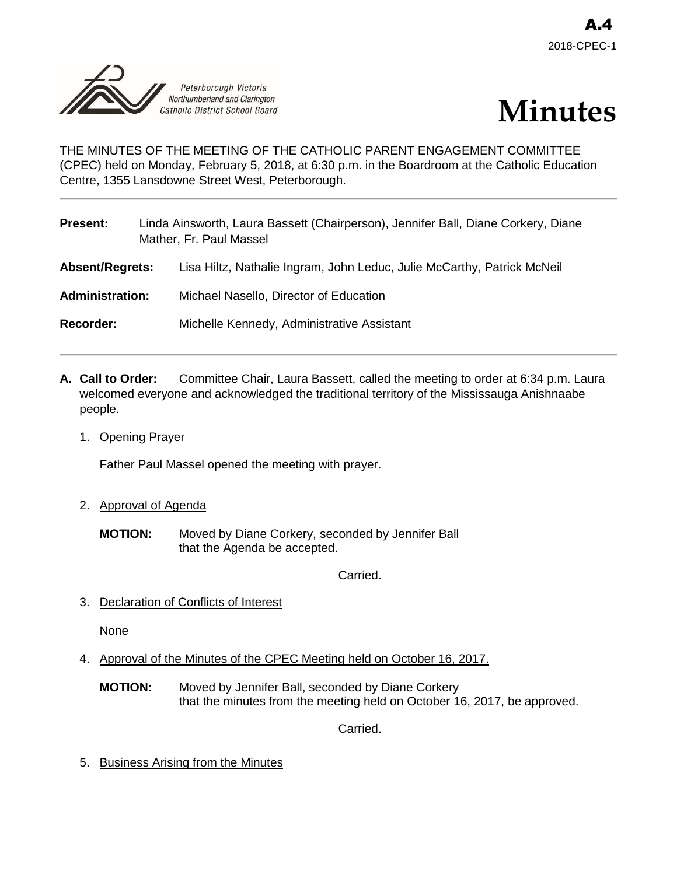



THE MINUTES OF THE MEETING OF THE CATHOLIC PARENT ENGAGEMENT COMMITTEE (CPEC) held on Monday, February 5, 2018, at 6:30 p.m. in the Boardroom at the Catholic Education Centre, 1355 Lansdowne Street West, Peterborough.

| <b>Present:</b>        | Linda Ainsworth, Laura Bassett (Chairperson), Jennifer Ball, Diane Corkery, Diane<br>Mather, Fr. Paul Massel |                                                                         |
|------------------------|--------------------------------------------------------------------------------------------------------------|-------------------------------------------------------------------------|
| <b>Absent/Regrets:</b> |                                                                                                              | Lisa Hiltz, Nathalie Ingram, John Leduc, Julie McCarthy, Patrick McNeil |
| <b>Administration:</b> |                                                                                                              | Michael Nasello, Director of Education                                  |
| <b>Recorder:</b>       |                                                                                                              | Michelle Kennedy, Administrative Assistant                              |
|                        |                                                                                                              |                                                                         |

- **A. Call to Order:** Committee Chair, Laura Bassett, called the meeting to order at 6:34 p.m. Laura welcomed everyone and acknowledged the traditional territory of the Mississauga Anishnaabe people.
	- 1. Opening Prayer

Father Paul Massel opened the meeting with prayer.

- 2. Approval of Agenda
	- **MOTION:** Moved by Diane Corkery, seconded by Jennifer Ball that the Agenda be accepted.

Carried.

3. Declaration of Conflicts of Interest

None

- 4. Approval of the Minutes of the CPEC Meeting held on October 16, 2017.
	- **MOTION:** Moved by Jennifer Ball, seconded by Diane Corkery that the minutes from the meeting held on October 16, 2017, be approved.

Carried.

5. Business Arising from the Minutes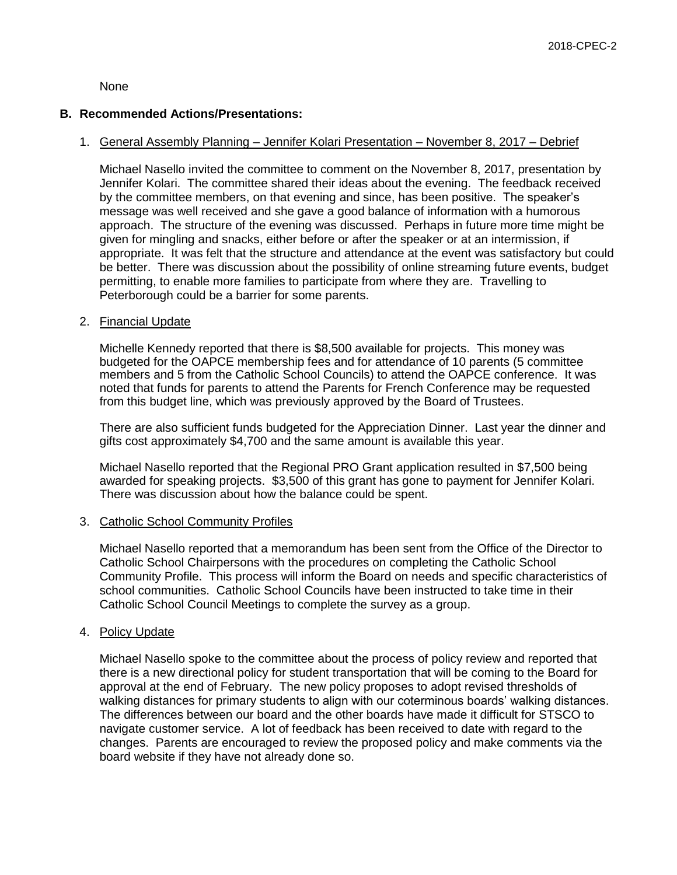None

#### **B. Recommended Actions/Presentations:**

### 1. General Assembly Planning – Jennifer Kolari Presentation – November 8, 2017 – Debrief

Michael Nasello invited the committee to comment on the November 8, 2017, presentation by Jennifer Kolari. The committee shared their ideas about the evening. The feedback received by the committee members, on that evening and since, has been positive. The speaker's message was well received and she gave a good balance of information with a humorous approach. The structure of the evening was discussed. Perhaps in future more time might be given for mingling and snacks, either before or after the speaker or at an intermission, if appropriate. It was felt that the structure and attendance at the event was satisfactory but could be better. There was discussion about the possibility of online streaming future events, budget permitting, to enable more families to participate from where they are. Travelling to Peterborough could be a barrier for some parents.

#### 2. Financial Update

Michelle Kennedy reported that there is \$8,500 available for projects. This money was budgeted for the OAPCE membership fees and for attendance of 10 parents (5 committee members and 5 from the Catholic School Councils) to attend the OAPCE conference. It was noted that funds for parents to attend the Parents for French Conference may be requested from this budget line, which was previously approved by the Board of Trustees.

There are also sufficient funds budgeted for the Appreciation Dinner. Last year the dinner and gifts cost approximately \$4,700 and the same amount is available this year.

Michael Nasello reported that the Regional PRO Grant application resulted in \$7,500 being awarded for speaking projects. \$3,500 of this grant has gone to payment for Jennifer Kolari. There was discussion about how the balance could be spent.

#### 3. Catholic School Community Profiles

Michael Nasello reported that a memorandum has been sent from the Office of the Director to Catholic School Chairpersons with the procedures on completing the Catholic School Community Profile. This process will inform the Board on needs and specific characteristics of school communities. Catholic School Councils have been instructed to take time in their Catholic School Council Meetings to complete the survey as a group.

#### 4. Policy Update

Michael Nasello spoke to the committee about the process of policy review and reported that there is a new directional policy for student transportation that will be coming to the Board for approval at the end of February. The new policy proposes to adopt revised thresholds of walking distances for primary students to align with our coterminous boards' walking distances. The differences between our board and the other boards have made it difficult for STSCO to navigate customer service. A lot of feedback has been received to date with regard to the changes. Parents are encouraged to review the proposed policy and make comments via the board website if they have not already done so.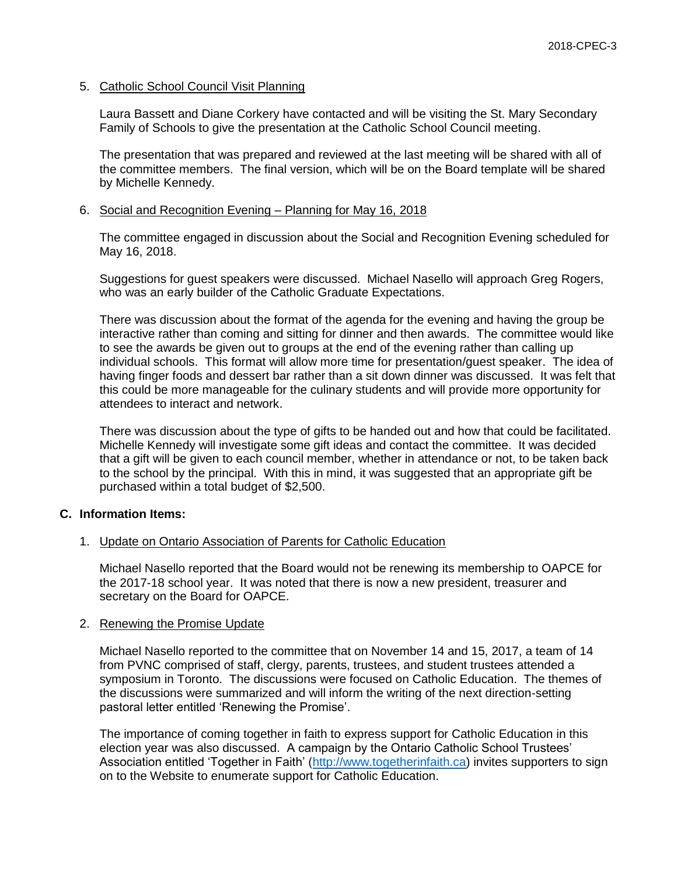### 5. Catholic School Council Visit Planning

Laura Bassett and Diane Corkery have contacted and will be visiting the St. Mary Secondary Family of Schools to give the presentation at the Catholic School Council meeting.

The presentation that was prepared and reviewed at the last meeting will be shared with all of the committee members. The final version, which will be on the Board template will be shared by Michelle Kennedy.

### 6. Social and Recognition Evening – Planning for May 16, 2018

The committee engaged in discussion about the Social and Recognition Evening scheduled for May 16, 2018.

Suggestions for guest speakers were discussed. Michael Nasello will approach Greg Rogers, who was an early builder of the Catholic Graduate Expectations.

There was discussion about the format of the agenda for the evening and having the group be interactive rather than coming and sitting for dinner and then awards. The committee would like to see the awards be given out to groups at the end of the evening rather than calling up individual schools. This format will allow more time for presentation/guest speaker. The idea of having finger foods and dessert bar rather than a sit down dinner was discussed. It was felt that this could be more manageable for the culinary students and will provide more opportunity for attendees to interact and network.

There was discussion about the type of gifts to be handed out and how that could be facilitated. Michelle Kennedy will investigate some gift ideas and contact the committee. It was decided that a gift will be given to each council member, whether in attendance or not, to be taken back to the school by the principal. With this in mind, it was suggested that an appropriate gift be purchased within a total budget of \$2,500.

# **C. Information Items:**

#### 1. Update on Ontario Association of Parents for Catholic Education

Michael Nasello reported that the Board would not be renewing its membership to OAPCE for the 2017-18 school year. It was noted that there is now a new president, treasurer and secretary on the Board for OAPCE.

#### 2. Renewing the Promise Update

Michael Nasello reported to the committee that on November 14 and 15, 2017, a team of 14 from PVNC comprised of staff, clergy, parents, trustees, and student trustees attended a symposium in Toronto. The discussions were focused on Catholic Education. The themes of the discussions were summarized and will inform the writing of the next direction-setting pastoral letter entitled 'Renewing the Promise'.

The importance of coming together in faith to express support for Catholic Education in this election year was also discussed. A campaign by the Ontario Catholic School Trustees' Association entitled 'Together in Faith' [\(http://www.togetherinfaith.ca\)](http://www.togetherinfaith.ca/) invites supporters to sign on to the Website to enumerate support for Catholic Education.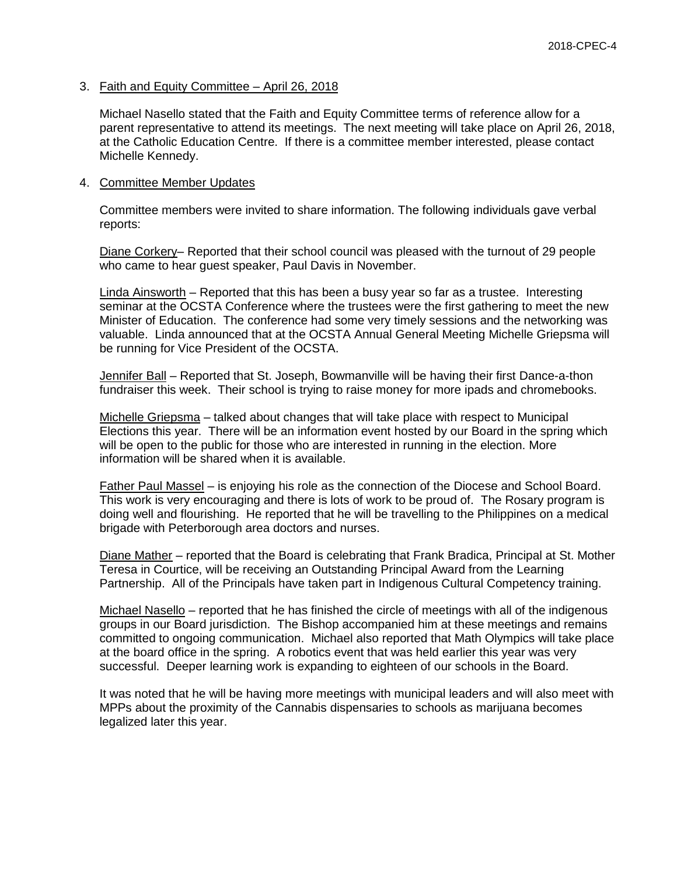3. Faith and Equity Committee – April 26, 2018

Michael Nasello stated that the Faith and Equity Committee terms of reference allow for a parent representative to attend its meetings. The next meeting will take place on April 26, 2018, at the Catholic Education Centre. If there is a committee member interested, please contact Michelle Kennedy.

#### 4. Committee Member Updates

Committee members were invited to share information. The following individuals gave verbal reports:

Diane Corkery– Reported that their school council was pleased with the turnout of 29 people who came to hear guest speaker, Paul Davis in November.

Linda Ainsworth – Reported that this has been a busy year so far as a trustee. Interesting seminar at the OCSTA Conference where the trustees were the first gathering to meet the new Minister of Education. The conference had some very timely sessions and the networking was valuable. Linda announced that at the OCSTA Annual General Meeting Michelle Griepsma will be running for Vice President of the OCSTA.

Jennifer Ball – Reported that St. Joseph, Bowmanville will be having their first Dance-a-thon fundraiser this week. Their school is trying to raise money for more ipads and chromebooks.

Michelle Griepsma – talked about changes that will take place with respect to Municipal Elections this year. There will be an information event hosted by our Board in the spring which will be open to the public for those who are interested in running in the election. More information will be shared when it is available.

Father Paul Massel – is enjoying his role as the connection of the Diocese and School Board. This work is very encouraging and there is lots of work to be proud of. The Rosary program is doing well and flourishing. He reported that he will be travelling to the Philippines on a medical brigade with Peterborough area doctors and nurses.

Diane Mather – reported that the Board is celebrating that Frank Bradica, Principal at St. Mother Teresa in Courtice, will be receiving an Outstanding Principal Award from the Learning Partnership. All of the Principals have taken part in Indigenous Cultural Competency training.

Michael Nasello – reported that he has finished the circle of meetings with all of the indigenous groups in our Board jurisdiction. The Bishop accompanied him at these meetings and remains committed to ongoing communication. Michael also reported that Math Olympics will take place at the board office in the spring. A robotics event that was held earlier this year was very successful. Deeper learning work is expanding to eighteen of our schools in the Board.

It was noted that he will be having more meetings with municipal leaders and will also meet with MPPs about the proximity of the Cannabis dispensaries to schools as marijuana becomes legalized later this year.